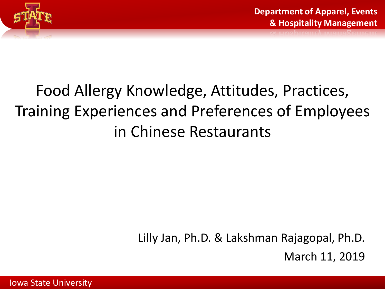

## Food Allergy Knowledge, Attitudes, Practices, Training Experiences and Preferences of Employees in Chinese Restaurants

Lilly Jan, Ph.D. & Lakshman Rajagopal, Ph.D. March 11, 2019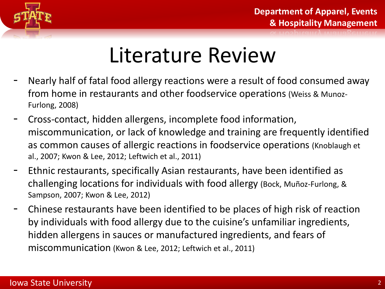

## Literature Review

- Nearly half of fatal food allergy reactions were a result of food consumed away from home in restaurants and other foodservice operations (Weiss & Munoz-Furlong, 2008)
- Cross-contact, hidden allergens, incomplete food information, miscommunication, or lack of knowledge and training are frequently identified as common causes of allergic reactions in foodservice operations (Knoblaugh et al., 2007; Kwon & Lee, 2012; Leftwich et al., 2011)
- Ethnic restaurants, specifically Asian restaurants, have been identified as challenging locations for individuals with food allergy (Bock, Muñoz-Furlong, & Sampson, 2007; Kwon & Lee, 2012)
- Chinese restaurants have been identified to be places of high risk of reaction by individuals with food allergy due to the cuisine's unfamiliar ingredients, hidden allergens in sauces or manufactured ingredients, and fears of miscommunication (Kwon & Lee, 2012; Leftwich et al., 2011)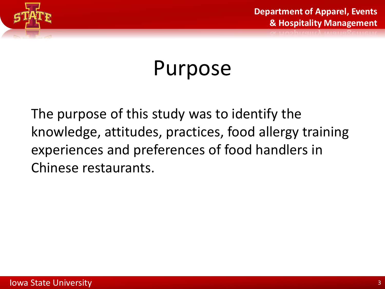

## Purpose

The purpose of this study was to identify the knowledge, attitudes, practices, food allergy training experiences and preferences of food handlers in Chinese restaurants.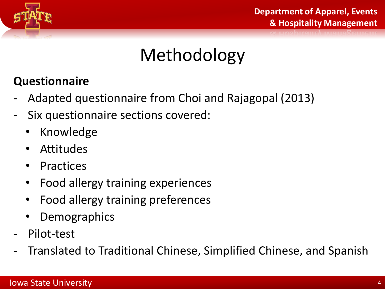

## Methodology

#### **Questionnaire**

- Adapted questionnaire from Choi and Rajagopal (2013)
- Six questionnaire sections covered:
	- Knowledge
	- Attitudes
	- Practices
	- Food allergy training experiences
	- Food allergy training preferences
	- **Demographics**
- Pilot-test
- Translated to Traditional Chinese, Simplified Chinese, and Spanish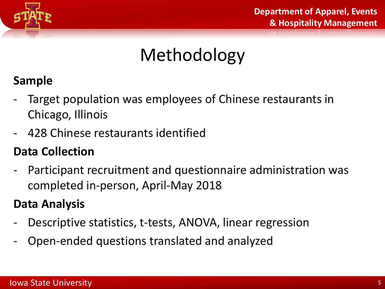

## Methodology

#### **Sample**

- Target population was employees of Chinese restaurants in Chicago, Illinois
- 428 Chinese restaurants identified

#### **Data Collection**

- Participant recruitment and questionnaire administration was completed in-person, April-May 2018

#### **Data Analysis**

- Descriptive statistics, t-tests, ANOVA, linear regression
- Open-ended questions translated and analyzed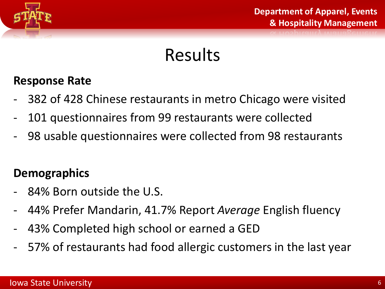

### Results

#### **Response Rate**

- 382 of 428 Chinese restaurants in metro Chicago were visited
- 101 questionnaires from 99 restaurants were collected
- 98 usable questionnaires were collected from 98 restaurants

#### **Demographics**

- 84% Born outside the U.S.
- 44% Prefer Mandarin, 41.7% Report *Average* English fluency
- 43% Completed high school or earned a GED
- 57% of restaurants had food allergic customers in the last year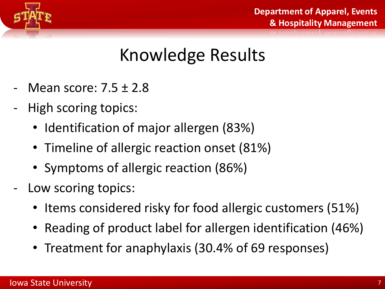

### Knowledge Results

- Mean score: 7.5 ± 2.8
- High scoring topics:
	- Identification of major allergen (83%)
	- Timeline of allergic reaction onset (81%)
	- Symptoms of allergic reaction (86%)
- Low scoring topics:
	- Items considered risky for food allergic customers (51%)
	- Reading of product label for allergen identification (46%)
	- Treatment for anaphylaxis (30.4% of 69 responses)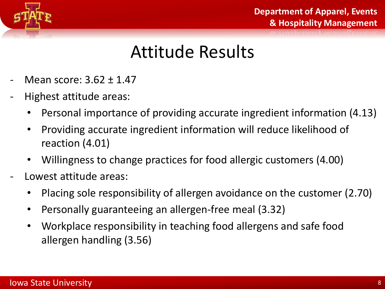

#### Attitude Results

- Mean score: 3.62 ± 1.47
- Highest attitude areas:
	- Personal importance of providing accurate ingredient information (4.13)
	- Providing accurate ingredient information will reduce likelihood of reaction (4.01)
	- Willingness to change practices for food allergic customers (4.00)
- Lowest attitude areas:
	- Placing sole responsibility of allergen avoidance on the customer (2.70)
	- Personally guaranteeing an allergen-free meal (3.32)
	- Workplace responsibility in teaching food allergens and safe food allergen handling (3.56)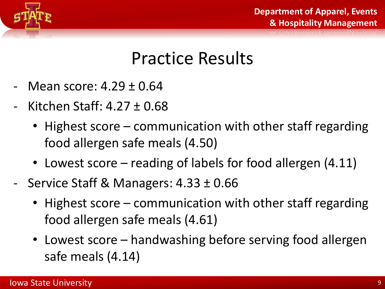

#### Practice Results

- Mean score:  $4.29 \pm 0.64$
- Kitchen Staff:  $4.27 \pm 0.68$ 
	- Highest score communication with other staff regarding food allergen safe meals (4.50)
	- Lowest score reading of labels for food allergen (4.11)
- Service Staff & Managers: 4.33 ± 0.66
	- Highest score communication with other staff regarding food allergen safe meals (4.61)
	- Lowest score handwashing before serving food allergen safe meals (4.14)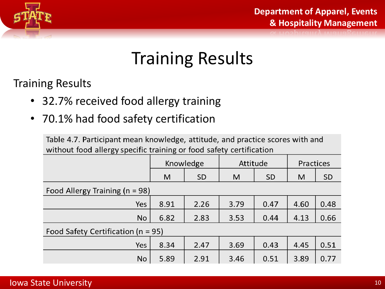

### Training Results

Training Results

- 32.7% received food allergy training
- 70.1% had food safety certification

Table 4.7. Participant mean knowledge, attitude, and practice scores with and without food allergy specific training or food safety certification

|                                        | Knowledge |           | Attitude |           | Practices |           |
|----------------------------------------|-----------|-----------|----------|-----------|-----------|-----------|
|                                        | M         | <b>SD</b> | M        | <b>SD</b> | M         | <b>SD</b> |
| Food Allergy Training ( $n = 98$ )     |           |           |          |           |           |           |
| Yes                                    | 8.91      | 2.26      | 3.79     | 0.47      | 4.60      | 0.48      |
| <b>No</b>                              | 6.82      | 2.83      | 3.53     | 0.44      | 4.13      | 0.66      |
| Food Safety Certification ( $n = 95$ ) |           |           |          |           |           |           |
| Yes                                    | 8.34      | 2.47      | 3.69     | 0.43      | 4.45      | 0.51      |
| No                                     | 5.89      | 2.91      | 3.46     | 0.51      | 3.89      | 0.77      |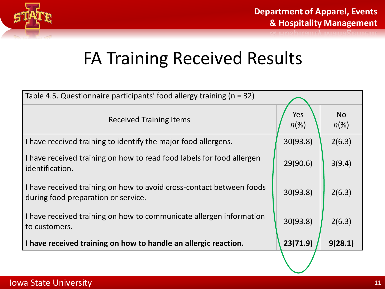

### FA Training Received Results

| Table 4.5. Questionnaire participants' food allergy training ( $n = 32$ )                                   |                |                      |  |  |  |
|-------------------------------------------------------------------------------------------------------------|----------------|----------------------|--|--|--|
| <b>Received Training Items</b>                                                                              | Yes<br>$n(\%)$ | <b>No</b><br>$n(\%)$ |  |  |  |
| I have received training to identify the major food allergens.                                              | 30(93.8)       | 2(6.3)               |  |  |  |
| I have received training on how to read food labels for food allergen<br>identification.                    | 29(90.6)       | 3(9.4)               |  |  |  |
| I have received training on how to avoid cross-contact between foods<br>during food preparation or service. | 30(93.8)       | 2(6.3)               |  |  |  |
| I have received training on how to communicate allergen information<br>to customers.                        | 30(93.8)       | 2(6.3)               |  |  |  |
| I have received training on how to handle an allergic reaction.                                             | 23(71.9)       | 9(28.1)              |  |  |  |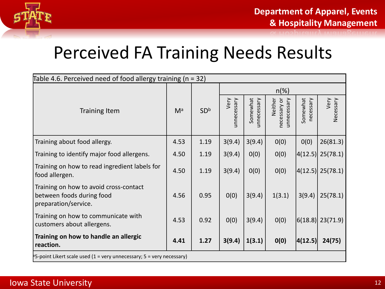

#### Perceived FA Training Needs Results

| Table 4.6. Perceived need of food allergy training ( $n = 32$ )                             |       |                 |                     |                         |                                        |                       |                   |
|---------------------------------------------------------------------------------------------|-------|-----------------|---------------------|-------------------------|----------------------------------------|-----------------------|-------------------|
|                                                                                             |       |                 | $n(\%)$             |                         |                                        |                       |                   |
| <b>Training Item</b>                                                                        | $M^a$ | SD <sup>b</sup> | Very<br>unnecessary | Somewhat<br>unnecessary | unnecessary<br>Neither<br>necessary or | Somewhat<br>necessary | Very<br>Necessary |
| Training about food allergy.                                                                | 4.53  | 1.19            | 3(9.4)              | 3(9.4)                  | 0(0)                                   | 0(0)                  | 26(81.3)          |
| Training to identify major food allergens.                                                  | 4.50  | 1.19            | 3(9.4)              | 0(0)                    | 0(0)                                   |                       | 4(12.5)  25(78.1) |
| Training on how to read ingredient labels for<br>food allergen.                             | 4.50  | 1.19            | 3(9.4)              | 0(0)                    | 0(0)                                   |                       | 4(12.5)  25(78.1) |
| Training on how to avoid cross-contact<br>between foods during food<br>preparation/service. | 4.56  | 0.95            | 0(0)                | 3(9.4)                  | 1(3.1)                                 | 3(9.4)                | 25(78.1)          |
| Training on how to communicate with<br>customers about allergens.                           | 4.53  | 0.92            | 0(0)                | 3(9.4)                  | 0(0)                                   |                       | 6(18.8)  23(71.9) |
| Training on how to handle an allergic<br>reaction.                                          | 4.41  | 1.27            | 3(9.4)              | 1(3.1)                  | O(0)                                   | 4(12.5)               | 24(75)            |
| <sup>3</sup> 5-point Likert scale used (1 = very unnecessary; 5 = very necessary)           |       |                 |                     |                         |                                        |                       |                   |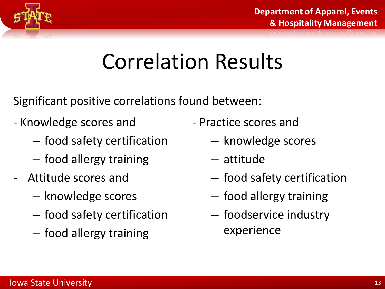

## Correlation Results

Significant positive correlations found between:

- Knowledge scores and
	- food safety certification
	- food allergy training
- Attitude scores and
	- knowledge scores
	- food safety certification
	- food allergy training
- Practice scores and
	- knowledge scores
	- attitude
	- food safety certification
	- food allergy training
	- foodservice industry experience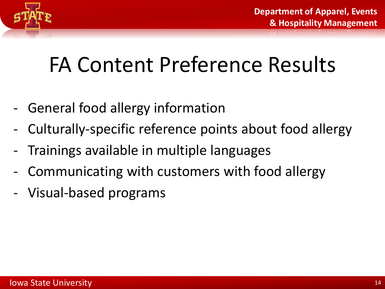

## FA Content Preference Results

- General food allergy information
- Culturally-specific reference points about food allergy
- Trainings available in multiple languages
- Communicating with customers with food allergy
- Visual-based programs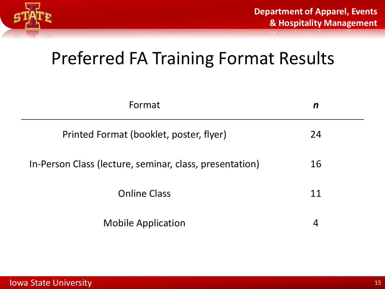

#### Preferred FA Training Format Results

| Format                                                  | $\boldsymbol{n}$ |  |
|---------------------------------------------------------|------------------|--|
| Printed Format (booklet, poster, flyer)                 | 24               |  |
| In-Person Class (lecture, seminar, class, presentation) | 16               |  |
| <b>Online Class</b>                                     | 11               |  |
| <b>Mobile Application</b>                               | 4                |  |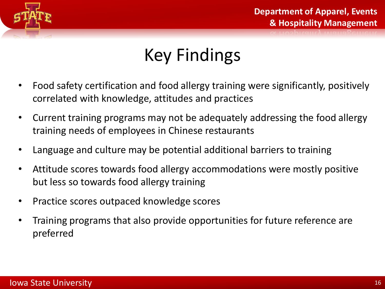

## Key Findings

- Food safety certification and food allergy training were significantly, positively correlated with knowledge, attitudes and practices
- Current training programs may not be adequately addressing the food allergy training needs of employees in Chinese restaurants
- Language and culture may be potential additional barriers to training
- Attitude scores towards food allergy accommodations were mostly positive but less so towards food allergy training
- Practice scores outpaced knowledge scores
- Training programs that also provide opportunities for future reference are preferred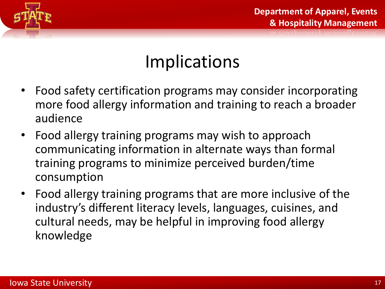

#### Implications

- Food safety certification programs may consider incorporating more food allergy information and training to reach a broader audience
- Food allergy training programs may wish to approach communicating information in alternate ways than formal training programs to minimize perceived burden/time consumption
- Food allergy training programs that are more inclusive of the industry's different literacy levels, languages, cuisines, and cultural needs, may be helpful in improving food allergy knowledge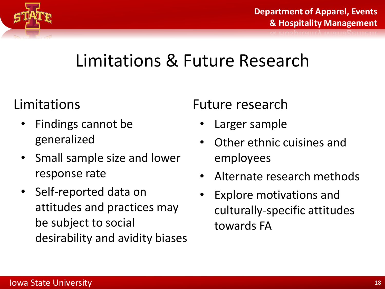

#### Limitations & Future Research

#### Limitations

- Findings cannot be generalized
- Small sample size and lower response rate
- Self-reported data on attitudes and practices may be subject to social desirability and avidity biases

#### Future research

- Larger sample
- Other ethnic cuisines and employees
- Alternate research methods
- Explore motivations and culturally-specific attitudes towards FA